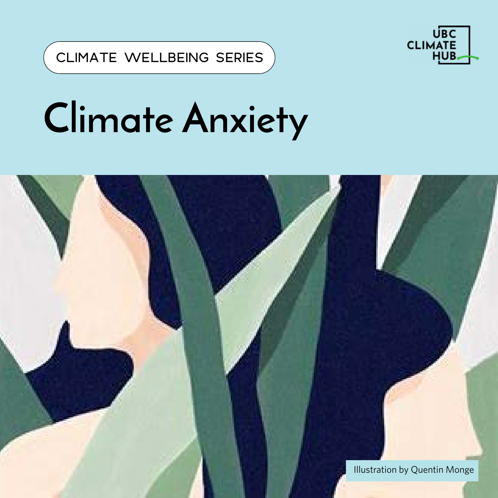

## **Climate Anxiety**

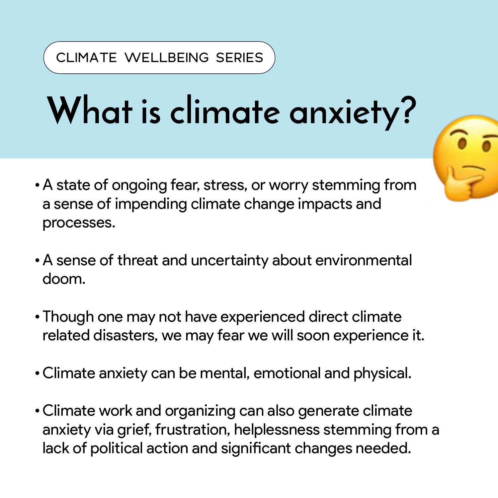### **What is climate anxiety?**

- •A state of ongoing fear, stress, or worry stemming from a sense of impending climate change impacts and processes.
- •A sense of threat and uncertainty about environmental doom.
- •Though one may not have experienced direct climate related disasters, we may fear we will soon experience it.
- •Climate anxiety can be mental, emotional and physical.
- •Climate work and organizing can also generate climate anxiety via grief, frustration, helplessness stemming from a lack of political action and significant changes needed.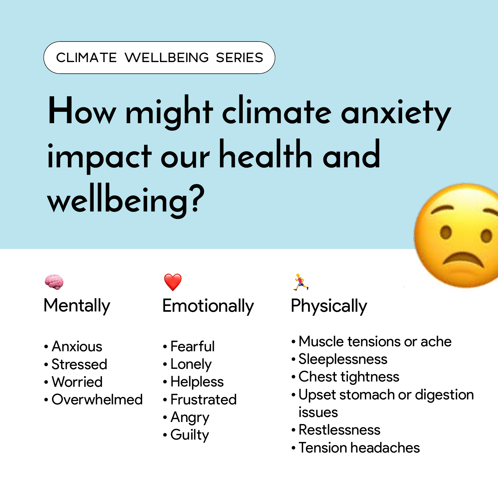# **How might climate anxiety impact our health and wellbeing?**



**Mentally** 

- •Anxious
- Stressed
- Worried
- Overwhelmed



- Fearful
- Lonely
- •Helpless
- Frustrated
- •Angry
- Guilty

**Physically** 

X

- Muscle tensions or ache
- Sleeplessness
- Chest tightness
- Upset stomach or digestion issues
- Restlessness
- Tension headaches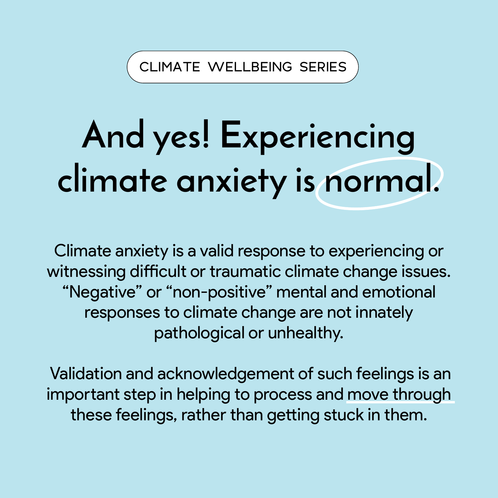### **And yes! Experiencing climate anxiety is normal.**

Climate anxiety is a valid response to experiencing or witnessing difficult or traumatic climate change issues. "Negative" or "non-positive" mental and emotional responses to climate change are not innately pathological or unhealthy.

 Validation and acknowledgement of such feelings is an important step in helping to process and move through these feelings, rather than getting stuck in them.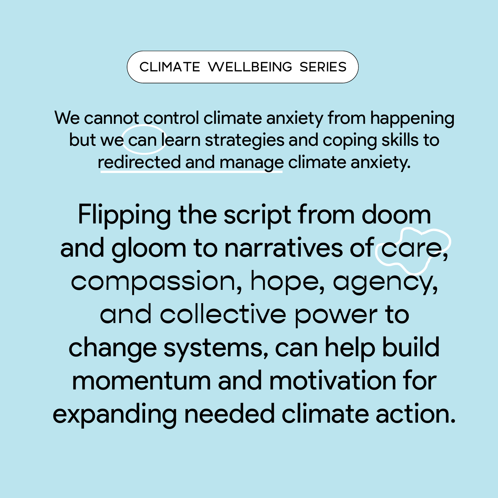We cannot control climate anxiety from happening but we can learn strategies and coping skills to redirected and manage climate anxiety.

Flipping the script from doom and gloom to narratives of care, compassion, hope, agency, and collective power to change systems, can help build momentum and motivation for expanding needed climate action.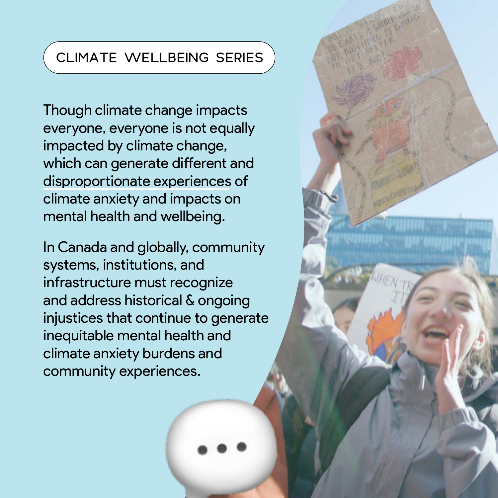Though climate change impacts everyone, everyone is not equally impacted by climate change, which can generate different and disproportionate experiences of climate anxiety and impacts on mental health and wellbeing.

In Canada and globally, community systems, institutions, and infrastructure must recognize and address historical & ongoing injustices that continue to generate inequitable mental health and climate anxiety burdens and community experiences.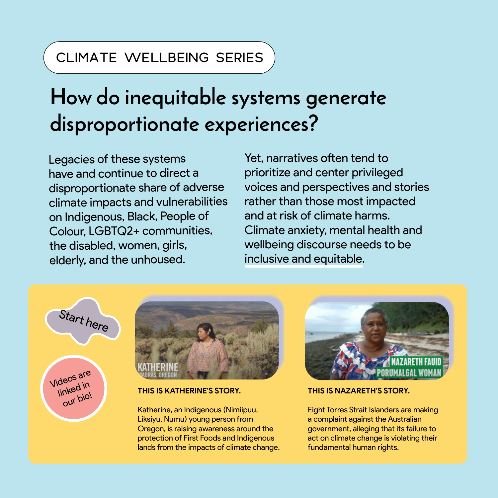### **How do inequitable systems generate disproportionate experiences?**

Legacies of these systems have and continue to direct a disproportionate share of adverse climate impacts and vulnerabilities on Indigenous, Black, People of Colour, LGBTQ2+ communities, the disabled, women, girls, elderly, and the unhoused.

Yet, narratives often tend to prioritize and center privileged voices and perspectives and stories rather than those most impacted and at risk of climate harms. Climate anxiety, mental health and wellbeing discourse needs to be inclusive and equitable.

Start here





#### **THIS IS KATHERINE'S STORY.**

Katherine, an Indigenous (Nimiipuu, Liksiyu, Numu) young person from Oregon, is raising awareness around the protection of First Foods and Indigenous lands from the impacts of climate change.



#### **THIS IS NAZARETH'S STORY.**

Eight Torres Strait Islanders are making a complaint against the Australian government, alleging that its failure to act on climate change is violating their fundamental human rights.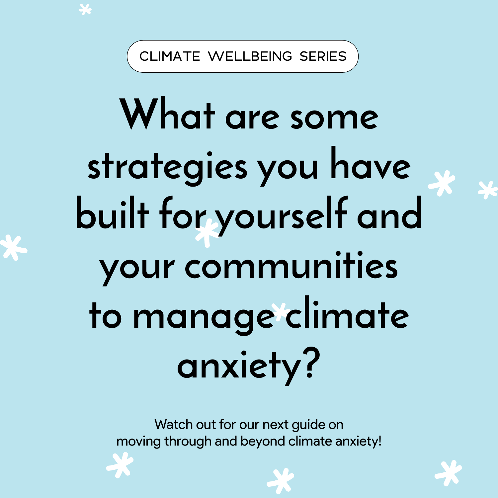## What are some **strategies you have built for yourself and your communities to manage climate anxiety?**

Watch out for our next guide on moving through and beyond climate anxiety!





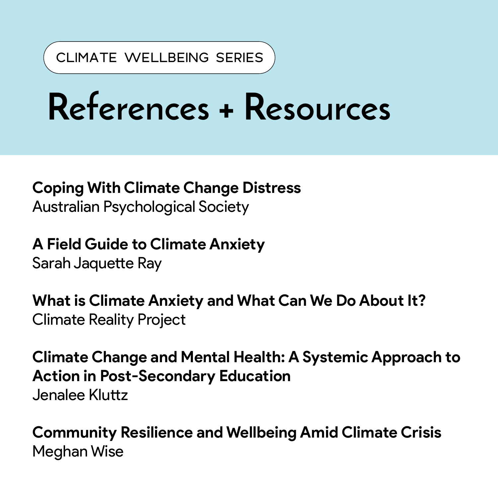### **References + Resources**

#### **Coping With Climate Change Distress**

Australian Psychological Society

**A Field Guide to Climate Anxiety** Sarah Jaquette Ray

**What is Climate Anxiety and What Can We Do About It?** Climate Reality Project

**Climate Change and Mental Health: A Systemic Approach to Action in Post-Secondary Education** Jenalee Kluttz

**Community Resilience and Wellbeing Amid Climate Crisis** Meghan Wise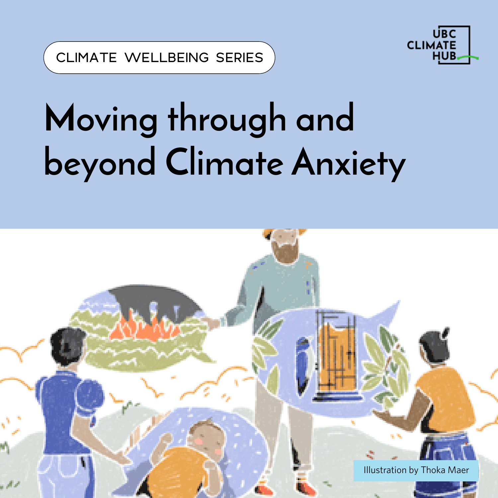

### **Moving through and beyond Climate Anxiety**

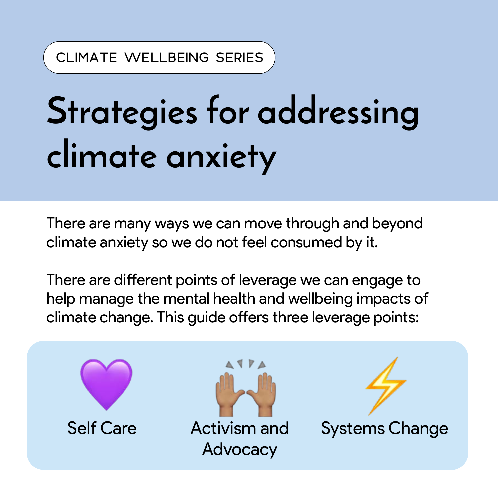### **Strategies for addressing climate anxiety**

There are many ways we can move through and beyond climate anxiety so we do not feel consumed by it.

There are different points of leverage we can engage to help manage the mental health and wellbeing impacts of climate change. This guide offers three leverage points:

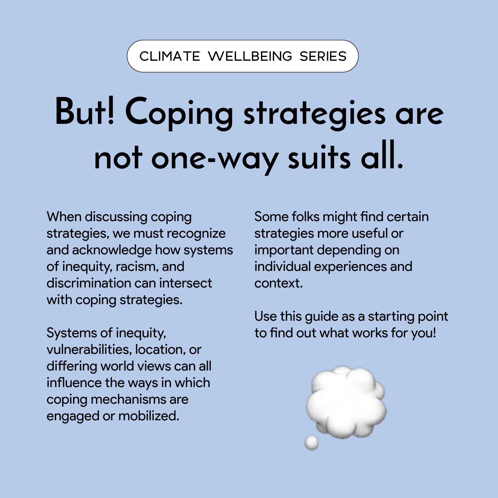### **But! Coping strategies are not one-way suits all.**

When discussing coping strategies, we must recognize and acknowledge how systems of inequity, racism, and discrimination can intersect with coping strategies.

Systems of inequity, vulnerabilities, location, or differing world views can all influence the ways in which coping mechanisms are engaged or mobilized.

Some folks might find certain strategies more useful or important depending on individual experiences and context.

Use this guide as a starting point to find out what works for you!

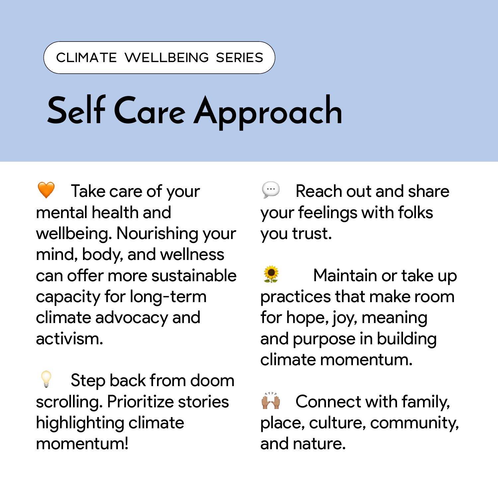### **Self Care Approach**

 Take care of your mental health and wellbeing. Nourishing your mind, body, and wellness can offer more sustainable capacity for long-term climate advocacy and activism.

 Step back from doom scrolling. Prioritize stories highlighting climate momentum!

 Reach out and share your feelings with folks you trust.

 Maintain or take up practices that make room for hope, joy, meaning and purpose in building climate momentum.

 Connect with family, place, culture, community, and nature.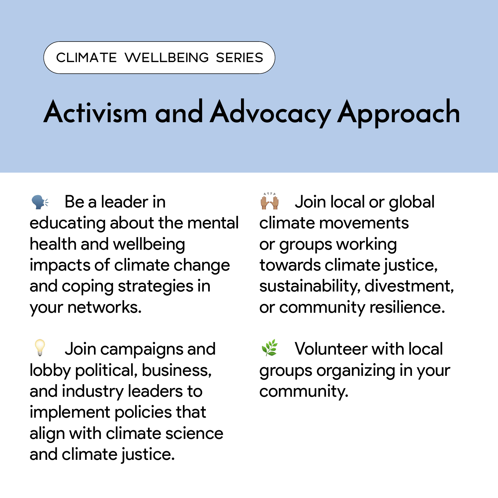### **Activism and Advocacy Approach**

 Be a leader in educating about the mental health and wellbeing impacts of climate change and coping strategies in your networks.

 Join campaigns and lobby political, business, and industry leaders to implement policies that align with climate science and climate justice.

**A** Join local or global climate movements or groups working towards climate justice, sustainability, divestment, or community resilience.

 Volunteer with local groups organizing in your community.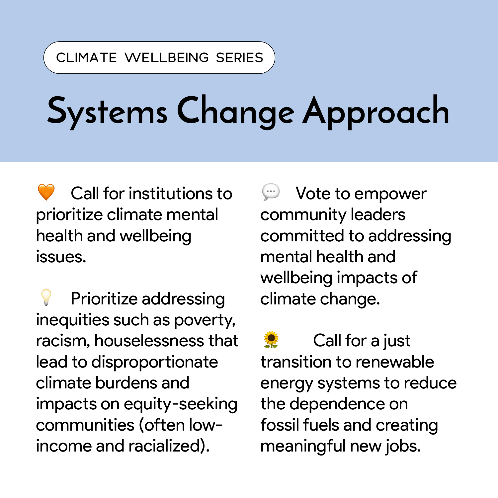### **Systems Change Approach**

 Call for institutions to prioritize climate mental health and wellbeing issues.

 Prioritize addressing inequities such as poverty, racism, houselessness that lead to disproportionate climate burdens and impacts on equity-seeking communities (often lowincome and racialized).

 Vote to empower community leaders committed to addressing mental health and wellbeing impacts of climate change.

 Call for a just transition to renewable energy systems to reduce the dependence on fossil fuels and creating meaningful new jobs.